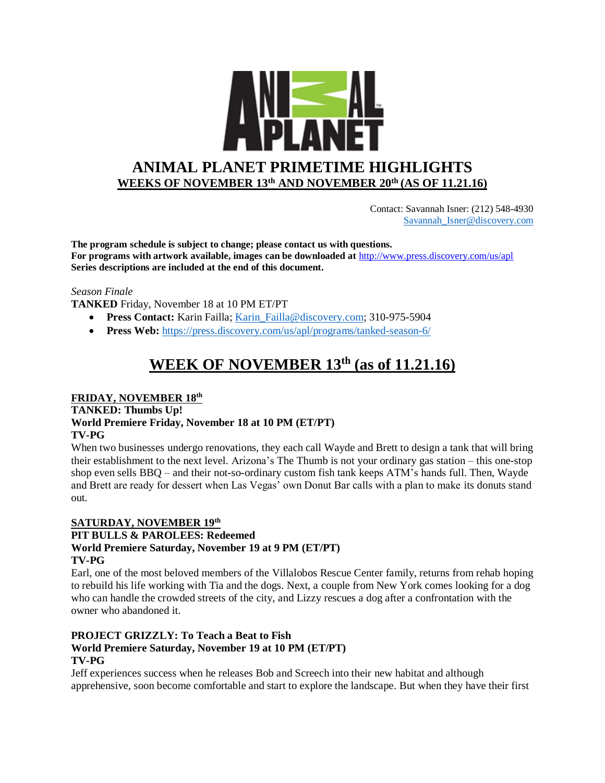

 Contact: Savannah Isner: (212) 548-4930 [Savannah\\_Isner@discovery.com](mailto:Savannah_Isner@discovery.com)

**The program schedule is subject to change; please contact us with questions. For programs with artwork available, images can be downloaded at** http://www.press.discovery.com/us/apl **Series descriptions are included at the end of this document.** 

### *Season Finale*

**TANKED** Friday, November 18 at 10 PM ET/PT

- **Press Contact:** Karin Failla; Karin Failla@discovery.com; 310-975-5904
- **Press Web:** <https://press.discovery.com/us/apl/programs/tanked-season-6/>

# **WEEK OF NOVEMBER 13th (as of 11.21.16)**

### **FRIDAY, NOVEMBER 18th**

**TANKED: Thumbs Up! World Premiere Friday, November 18 at 10 PM (ET/PT) TV-PG**

When two businesses undergo renovations, they each call Wayde and Brett to design a tank that will bring their establishment to the next level. Arizona's The Thumb is not your ordinary gas station – this one-stop shop even sells BBQ – and their not-so-ordinary custom fish tank keeps ATM's hands full. Then, Wayde and Brett are ready for dessert when Las Vegas' own Donut Bar calls with a plan to make its donuts stand out.

### **SATURDAY, NOVEMBER 19th PIT BULLS & PAROLEES: Redeemed World Premiere Saturday, November 19 at 9 PM (ET/PT) TV-PG**

Earl, one of the most beloved members of the Villalobos Rescue Center family, returns from rehab hoping to rebuild his life working with Tia and the dogs. Next, a couple from New York comes looking for a dog who can handle the crowded streets of the city, and Lizzy rescues a dog after a confrontation with the owner who abandoned it.

#### **PROJECT GRIZZLY: To Teach a Beat to Fish World Premiere Saturday, November 19 at 10 PM (ET/PT) TV-PG**

Jeff experiences success when he releases Bob and Screech into their new habitat and although apprehensive, soon become comfortable and start to explore the landscape. But when they have their first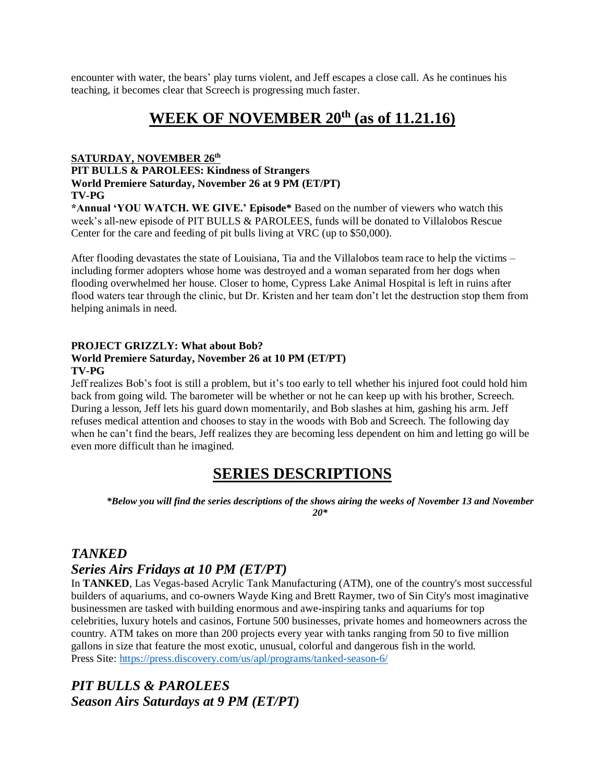encounter with water, the bears' play turns violent, and Jeff escapes a close call. As he continues his teaching, it becomes clear that Screech is progressing much faster.

# **WEEK OF NOVEMBER 20th (as of 11.21.16)**

### **SATURDAY, NOVEMBER 26th**

### **PIT BULLS & PAROLEES: Kindness of Strangers World Premiere Saturday, November 26 at 9 PM (ET/PT) TV-PG**

**\*Annual 'YOU WATCH. WE GIVE.' Episode\*** Based on the number of viewers who watch this week's all-new episode of PIT BULLS & PAROLEES, funds will be donated to Villalobos Rescue Center for the care and feeding of pit bulls living at VRC (up to \$50,000).

After flooding devastates the state of Louisiana, Tia and the Villalobos team race to help the victims – including former adopters whose home was destroyed and a woman separated from her dogs when flooding overwhelmed her house. Closer to home, Cypress Lake Animal Hospital is left in ruins after flood waters tear through the clinic, but Dr. Kristen and her team don't let the destruction stop them from helping animals in need.

### **PROJECT GRIZZLY: What about Bob?**

### **World Premiere Saturday, November 26 at 10 PM (ET/PT) TV-PG**

Jeff realizes Bob's foot is still a problem, but it's too early to tell whether his injured foot could hold him back from going wild. The barometer will be whether or not he can keep up with his brother, Screech. During a lesson, Jeff lets his guard down momentarily, and Bob slashes at him, gashing his arm. Jeff refuses medical attention and chooses to stay in the woods with Bob and Screech. The following day when he can't find the bears, Jeff realizes they are becoming less dependent on him and letting go will be even more difficult than he imagined.

## **SERIES DESCRIPTIONS**

*\*Below you will find the series descriptions of the shows airing the weeks of November 13 and November 20\**

## *TANKED*

## *Series Airs Fridays at 10 PM (ET/PT)*

In **TANKED**, Las Vegas-based Acrylic Tank Manufacturing (ATM), one of the country's most successful builders of aquariums, and co-owners Wayde King and Brett Raymer, two of Sin City's most imaginative businessmen are tasked with building enormous and awe-inspiring tanks and aquariums for top celebrities, luxury hotels and casinos, Fortune 500 businesses, private homes and homeowners across the country. ATM takes on more than 200 projects every year with tanks ranging from 50 to five million gallons in size that feature the most exotic, unusual, colorful and dangerous fish in the world. Press Site:<https://press.discovery.com/us/apl/programs/tanked-season-6/>

## *PIT BULLS & PAROLEES Season Airs Saturdays at 9 PM (ET/PT)*